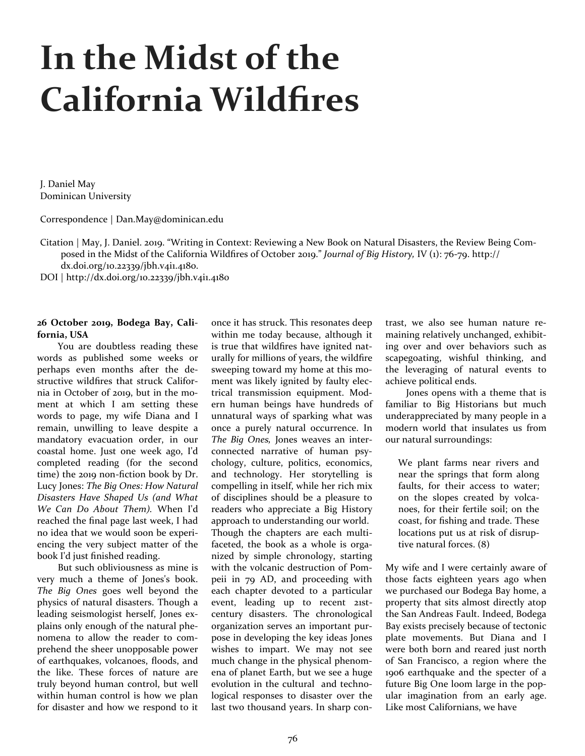# **In the Midst of the California Wildfires**

J. Daniel May Dominican University

Correspondence | Dan.May@dominican.edu

Citation | May, J. Daniel. 2019. "Writing in Context: Reviewing a New Book on Natural Disasters, the Review Being Composed in the Midst of the California Wildfires of October 2019." *Journal of Big History,* IV (1): 76-79. http://

dx.doi.org/10.22339/jbh.v4i1.4180.

DOI | http://dx.doi.org/10.22339/jbh.v4i1.4180

## **26 October 2019, Bodega Bay, California, USA**

You are doubtless reading these words as published some weeks or perhaps even months after the destructive wildfires that struck California in October of 2019, but in the moment at which I am setting these words to page, my wife Diana and I remain, unwilling to leave despite a mandatory evacuation order, in our coastal home. Just one week ago, I'd completed reading (for the second time) the 2019 non-fiction book by Dr. Lucy Jones: *The Big Ones: How Natural Disasters Have Shaped Us (and What We Can Do About Them).* When I'd reached the final page last week, I had no idea that we would soon be experiencing the very subject matter of the book I'd just finished reading.

But such obliviousness as mine is very much a theme of Jones's book. *The Big Ones* goes well beyond the physics of natural disasters. Though a leading seismologist herself, Jones explains only enough of the natural phenomena to allow the reader to comprehend the sheer unopposable power of earthquakes, volcanoes, floods, and the like. These forces of nature are truly beyond human control, but well within human control is how we plan for disaster and how we respond to it once it has struck. This resonates deep within me today because, although it is true that wildfires have ignited naturally for millions of years, the wildfire sweeping toward my home at this moment was likely ignited by faulty electrical transmission equipment. Modern human beings have hundreds of unnatural ways of sparking what was once a purely natural occurrence. In *The Big Ones,* Jones weaves an interconnected narrative of human psychology, culture, politics, economics, and technology. Her storytelling is compelling in itself, while her rich mix of disciplines should be a pleasure to readers who appreciate a Big History approach to understanding our world. Though the chapters are each multifaceted, the book as a whole is organized by simple chronology, starting with the volcanic destruction of Pompeii in 79 AD, and proceeding with each chapter devoted to a particular event, leading up to recent 21stcentury disasters. The chronological organization serves an important purpose in developing the key ideas Jones wishes to impart. We may not see much change in the physical phenomena of planet Earth, but we see a huge evolution in the cultural and technological responses to disaster over the last two thousand years. In sharp contrast, we also see human nature remaining relatively unchanged, exhibiting over and over behaviors such as scapegoating, wishful thinking, and the leveraging of natural events to achieve political ends.

Jones opens with a theme that is familiar to Big Historians but much underappreciated by many people in a modern world that insulates us from our natural surroundings:

We plant farms near rivers and near the springs that form along faults, for their access to water; on the slopes created by volcanoes, for their fertile soil; on the coast, for fishing and trade. These locations put us at risk of disruptive natural forces. (8)

My wife and I were certainly aware of those facts eighteen years ago when we purchased our Bodega Bay home, a property that sits almost directly atop the San Andreas Fault. Indeed, Bodega Bay exists precisely because of tectonic plate movements. But Diana and I were both born and reared just north of San Francisco, a region where the 1906 earthquake and the specter of a future Big One loom large in the popular imagination from an early age. Like most Californians, we have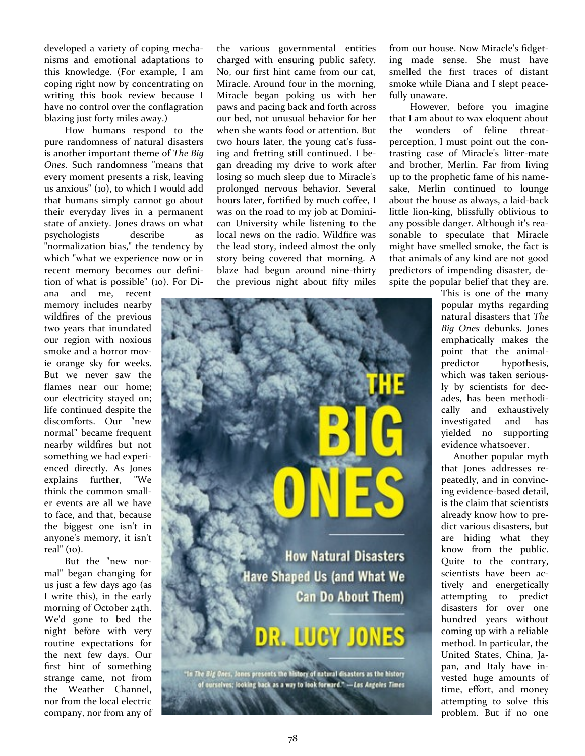developed a variety of coping mechanisms and emotional adaptations to this knowledge. (For example, I am coping right now by concentrating on writing this book review because I have no control over the conflagration blazing just forty miles away.)

How humans respond to the pure randomness of natural disasters is another important theme of *The Big Ones*. Such randomness "means that every moment presents a risk, leaving us anxious" (10), to which I would add that humans simply cannot go about their everyday lives in a permanent state of anxiety. Jones draws on what psychologists describe as "normalization bias," the tendency by which "what we experience now or in recent memory becomes our definition of what is possible" (10). For Di-

ana and me, recent memory includes nearby wildfires of the previous two years that inundated our region with noxious smoke and a horror movie orange sky for weeks. But we never saw the flames near our home; our electricity stayed on; life continued despite the discomforts. Our "new normal" became frequent nearby wildfires but not something we had experienced directly. As Jones explains further, "We think the common smaller events are all we have to face, and that, because the biggest one isn't in anyone's memory, it isn't real" (10).

But the "new normal" began changing for us just a few days ago (as I write this), in the early morning of October 24th. We'd gone to bed the night before with very routine expectations for the next few days. Our first hint of something strange came, not from the Weather Channel, nor from the local electric company, nor from any of the various governmental entities charged with ensuring public safety. No, our first hint came from our cat, Miracle. Around four in the morning, Miracle began poking us with her paws and pacing back and forth across our bed, not unusual behavior for her when she wants food or attention. But two hours later, the young cat's fussing and fretting still continued. I began dreading my drive to work after losing so much sleep due to Miracle's prolonged nervous behavior. Several hours later, fortified by much coffee, I was on the road to my job at Dominican University while listening to the local news on the radio. Wildfire was the lead story, indeed almost the only story being covered that morning. A blaze had begun around nine-thirty the previous night about fifty miles

> **How Natural Disasters Have Shaped Us (and What We** Can Do About Them)

# TUA

The *Big Ones*, Jones presents the history of natural disasters as the history<br>of ourselves; looking back as a way to look forward." - Los Angeles Times

from our house. Now Miracle's fidgeting made sense. She must have smelled the first traces of distant smoke while Diana and I slept peacefully unaware.

However, before you imagine that I am about to wax eloquent about the wonders of feline threatperception, I must point out the contrasting case of Miracle's litter-mate and brother, Merlin. Far from living up to the prophetic fame of his namesake, Merlin continued to lounge about the house as always, a laid-back little lion-king, blissfully oblivious to any possible danger. Although it's reasonable to speculate that Miracle might have smelled smoke, the fact is that animals of any kind are not good predictors of impending disaster, despite the popular belief that they are.

> This is one of the many popular myths regarding natural disasters that *The Big Ones* debunks. Jones emphatically makes the point that the animalpredictor hypothesis, which was taken seriously by scientists for decades, has been methodically and exhaustively investigated and has yielded no supporting evidence whatsoever.

> Another popular myth that Jones addresses repeatedly, and in convincing evidence-based detail, is the claim that scientists already know how to predict various disasters, but are hiding what they know from the public. Quite to the contrary, scientists have been actively and energetically attempting to predict disasters for over one hundred years without coming up with a reliable method. In particular, the United States, China, Japan, and Italy have invested huge amounts of time, effort, and money attempting to solve this problem. But if no one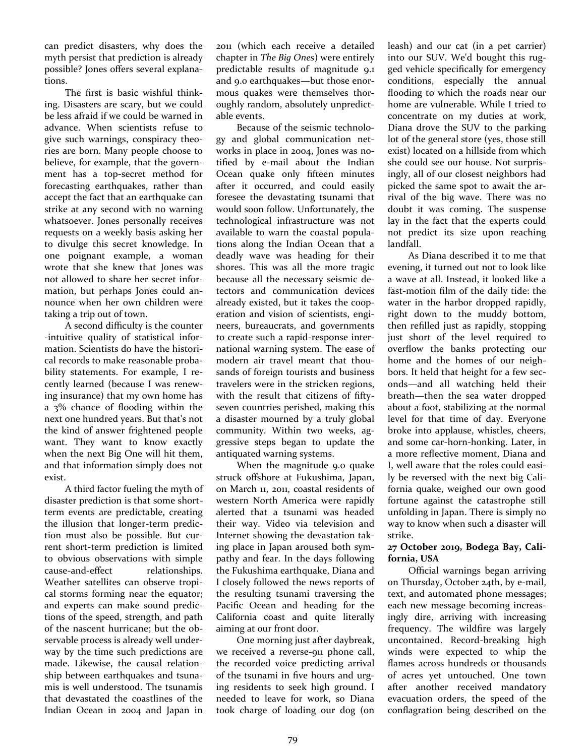can predict disasters, why does the myth persist that prediction is already possible? Jones offers several explanations.

The first is basic wishful thinking. Disasters are scary, but we could be less afraid if we could be warned in advance. When scientists refuse to give such warnings, conspiracy theories are born. Many people choose to believe, for example, that the government has a top-secret method for forecasting earthquakes, rather than accept the fact that an earthquake can strike at any second with no warning whatsoever. Jones personally receives requests on a weekly basis asking her to divulge this secret knowledge. In one poignant example, a woman wrote that she knew that Jones was not allowed to share her secret information, but perhaps Jones could announce when her own children were taking a trip out of town.

A second difficulty is the counter -intuitive quality of statistical information. Scientists do have the historical records to make reasonable probability statements. For example, I recently learned (because I was renewing insurance) that my own home has a 3% chance of flooding within the next one hundred years. But that's not the kind of answer frightened people want. They want to know exactly when the next Big One will hit them, and that information simply does not exist.

A third factor fueling the myth of disaster prediction is that some shortterm events are predictable, creating the illusion that longer-term prediction must also be possible. But current short-term prediction is limited to obvious observations with simple cause-and-effect relationships. Weather satellites can observe tropical storms forming near the equator; and experts can make sound predictions of the speed, strength, and path of the nascent hurricane; but the observable process is already well underway by the time such predictions are made. Likewise, the causal relationship between earthquakes and tsunamis is well understood. The tsunamis that devastated the coastlines of the Indian Ocean in 2004 and Japan in

2011 (which each receive a detailed chapter in *The Big Ones*) were entirely predictable results of magnitude 9.1 and 9.0 earthquakes—but those enormous quakes were themselves thoroughly random, absolutely unpredictable events.

Because of the seismic technology and global communication networks in place in 2004, Jones was notified by e-mail about the Indian Ocean quake only fifteen minutes after it occurred, and could easily foresee the devastating tsunami that would soon follow. Unfortunately, the technological infrastructure was not available to warn the coastal populations along the Indian Ocean that a deadly wave was heading for their shores. This was all the more tragic because all the necessary seismic detectors and communication devices already existed, but it takes the cooperation and vision of scientists, engineers, bureaucrats, and governments to create such a rapid-response international warning system. The ease of modern air travel meant that thousands of foreign tourists and business travelers were in the stricken regions, with the result that citizens of fiftyseven countries perished, making this a disaster mourned by a truly global community. Within two weeks, aggressive steps began to update the antiquated warning systems.

When the magnitude 9.0 quake struck offshore at Fukushima, Japan, on March 11, 2011, coastal residents of western North America were rapidly alerted that a tsunami was headed their way. Video via television and Internet showing the devastation taking place in Japan aroused both sympathy and fear. In the days following the Fukushima earthquake, Diana and I closely followed the news reports of the resulting tsunami traversing the Pacific Ocean and heading for the California coast and quite literally aiming at our front door.

One morning just after daybreak, we received a reverse-911 phone call, the recorded voice predicting arrival of the tsunami in five hours and urging residents to seek high ground. I needed to leave for work, so Diana took charge of loading our dog (on

leash) and our cat (in a pet carrier) into our SUV. We'd bought this rugged vehicle specifically for emergency conditions, especially the annual flooding to which the roads near our home are vulnerable. While I tried to concentrate on my duties at work, Diana drove the SUV to the parking lot of the general store (yes, those still exist) located on a hillside from which she could see our house. Not surprisingly, all of our closest neighbors had picked the same spot to await the arrival of the big wave. There was no doubt it was coming. The suspense lay in the fact that the experts could not predict its size upon reaching landfall.

As Diana described it to me that evening, it turned out not to look like a wave at all. Instead, it looked like a fast-motion film of the daily tide: the water in the harbor dropped rapidly, right down to the muddy bottom, then refilled just as rapidly, stopping just short of the level required to overflow the banks protecting our home and the homes of our neighbors. It held that height for a few seconds—and all watching held their breath—then the sea water dropped about a foot, stabilizing at the normal level for that time of day. Everyone broke into applause, whistles, cheers, and some car-horn-honking. Later, in a more reflective moment, Diana and I, well aware that the roles could easily be reversed with the next big California quake, weighed our own good fortune against the catastrophe still unfolding in Japan. There is simply no way to know when such a disaster will strike.

## **27 October 2019, Bodega Bay, California, USA**

Official warnings began arriving on Thursday, October 24th, by e-mail, text, and automated phone messages; each new message becoming increasingly dire, arriving with increasing frequency. The wildfire was largely uncontained. Record-breaking high winds were expected to whip the flames across hundreds or thousands of acres yet untouched. One town after another received mandatory evacuation orders, the speed of the conflagration being described on the